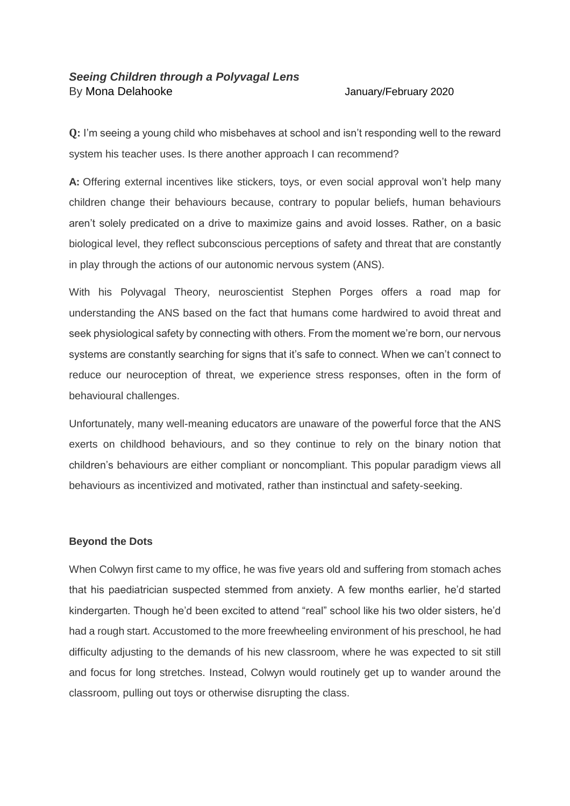# *Seeing Children through a Polyvagal Lens* By [Mona Delahooke](https://www.psychotherapynetworker.org/author/bio/4218/mona-delahooke) [January/February 2020](https://www.psychotherapynetworker.org/magazine/toc/185/the-evolving-therapist)

**Q:** I'm seeing a young child who misbehaves at school and isn't responding well to the reward system his teacher uses. Is there another approach I can recommend?

**A:** Offering external incentives like stickers, toys, or even social approval won't help many children change their behaviours because, contrary to popular beliefs, human behaviours aren't solely predicated on a drive to maximize gains and avoid losses. Rather, on a basic biological level, they reflect subconscious perceptions of safety and threat that are constantly in play through the actions of our autonomic nervous system (ANS).

With his Polyvagal Theory, neuroscientist Stephen Porges offers a road map for understanding the ANS based on the fact that humans come hardwired to avoid threat and seek physiological safety by connecting with others. From the moment we're born, our nervous systems are constantly searching for signs that it's safe to connect. When we can't connect to reduce our neuroception of threat, we experience stress responses, often in the form of behavioural challenges.

Unfortunately, many well-meaning educators are unaware of the powerful force that the ANS exerts on childhood behaviours, and so they continue to rely on the binary notion that children's behaviours are either compliant or noncompliant. This popular paradigm views all behaviours as incentivized and motivated, rather than instinctual and safety-seeking.

# **Beyond the Dots**

When Colwyn first came to my office, he was five years old and suffering from stomach aches that his paediatrician suspected stemmed from anxiety. A few months earlier, he'd started kindergarten. Though he'd been excited to attend "real" school like his two older sisters, he'd had a rough start. Accustomed to the more freewheeling environment of his preschool, he had difficulty adjusting to the demands of his new classroom, where he was expected to sit still and focus for long stretches. Instead, Colwyn would routinely get up to wander around the classroom, pulling out toys or otherwise disrupting the class.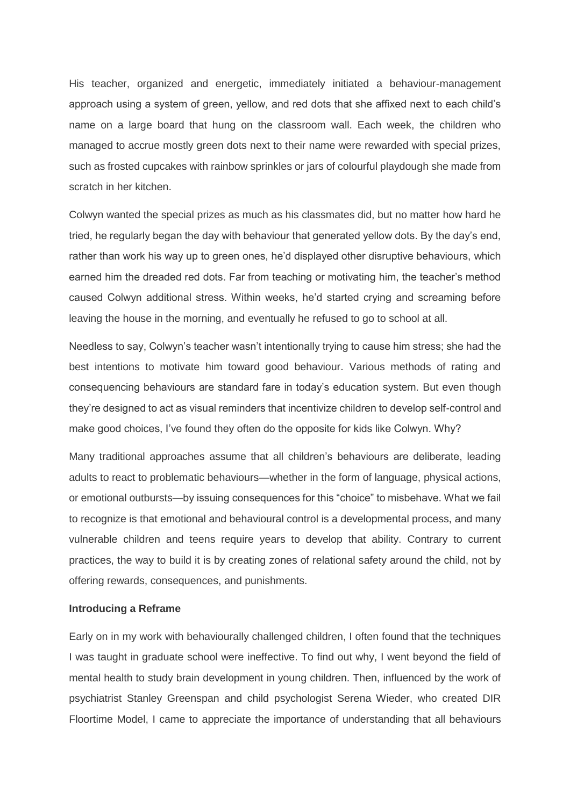His teacher, organized and energetic, immediately initiated a behaviour-management approach using a system of green, yellow, and red dots that she affixed next to each child's name on a large board that hung on the classroom wall. Each week, the children who managed to accrue mostly green dots next to their name were rewarded with special prizes, such as frosted cupcakes with rainbow sprinkles or jars of colourful playdough she made from scratch in her kitchen.

Colwyn wanted the special prizes as much as his classmates did, but no matter how hard he tried, he regularly began the day with behaviour that generated yellow dots. By the day's end, rather than work his way up to green ones, he'd displayed other disruptive behaviours, which earned him the dreaded red dots. Far from teaching or motivating him, the teacher's method caused Colwyn additional stress. Within weeks, he'd started crying and screaming before leaving the house in the morning, and eventually he refused to go to school at all.

Needless to say, Colwyn's teacher wasn't intentionally trying to cause him stress; she had the best intentions to motivate him toward good behaviour. Various methods of rating and consequencing behaviours are standard fare in today's education system. But even though they're designed to act as visual reminders that incentivize children to develop self-control and make good choices, I've found they often do the opposite for kids like Colwyn. Why?

Many traditional approaches assume that all children's behaviours are deliberate, leading adults to react to problematic behaviours—whether in the form of language, physical actions, or emotional outbursts—by issuing consequences for this "choice" to misbehave. What we fail to recognize is that emotional and behavioural control is a developmental process, and many vulnerable children and teens require years to develop that ability. Contrary to current practices, the way to build it is by creating zones of relational safety around the child, not by offering rewards, consequences, and punishments.

## **Introducing a Reframe**

Early on in my work with behaviourally challenged children, I often found that the techniques I was taught in graduate school were ineffective. To find out why, I went beyond the field of mental health to study brain development in young children. Then, influenced by the work of psychiatrist Stanley Greenspan and child psychologist Serena Wieder, who created DIR Floortime Model, I came to appreciate the importance of understanding that all behaviours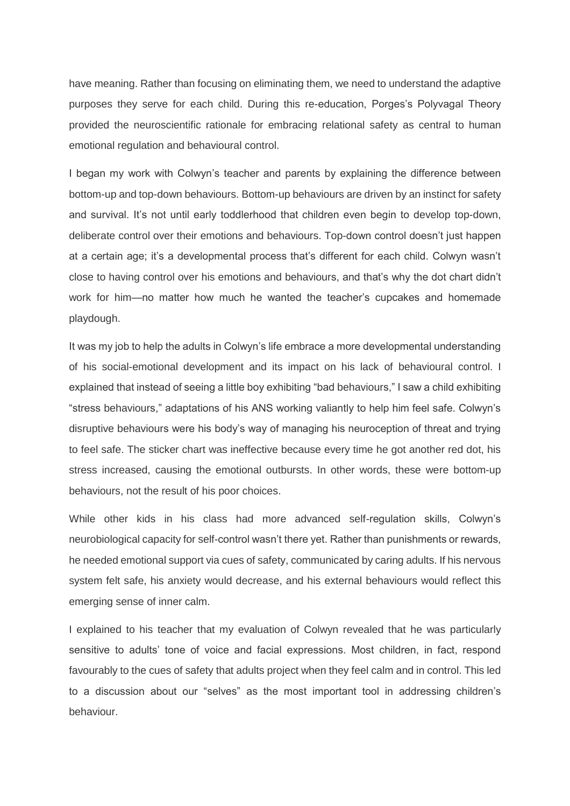have meaning. Rather than focusing on eliminating them, we need to understand the adaptive purposes they serve for each child. During this re-education, Porges's Polyvagal Theory provided the neuroscientific rationale for embracing relational safety as central to human emotional regulation and behavioural control.

I began my work with Colwyn's teacher and parents by explaining the difference between bottom-up and top-down behaviours. Bottom-up behaviours are driven by an instinct for safety and survival. It's not until early toddlerhood that children even begin to develop top-down, deliberate control over their emotions and behaviours. Top-down control doesn't just happen at a certain age; it's a developmental process that's different for each child. Colwyn wasn't close to having control over his emotions and behaviours, and that's why the dot chart didn't work for him—no matter how much he wanted the teacher's cupcakes and homemade playdough.

It was my job to help the adults in Colwyn's life embrace a more developmental understanding of his social-emotional development and its impact on his lack of behavioural control. I explained that instead of seeing a little boy exhibiting "bad behaviours," I saw a child exhibiting "stress behaviours," adaptations of his ANS working valiantly to help him feel safe. Colwyn's disruptive behaviours were his body's way of managing his neuroception of threat and trying to feel safe. The sticker chart was ineffective because every time he got another red dot, his stress increased, causing the emotional outbursts. In other words, these were bottom-up behaviours, not the result of his poor choices.

While other kids in his class had more advanced self-regulation skills, Colwyn's neurobiological capacity for self-control wasn't there yet. Rather than punishments or rewards, he needed emotional support via cues of safety, communicated by caring adults. If his nervous system felt safe, his anxiety would decrease, and his external behaviours would reflect this emerging sense of inner calm.

I explained to his teacher that my evaluation of Colwyn revealed that he was particularly sensitive to adults' tone of voice and facial expressions. Most children, in fact, respond favourably to the cues of safety that adults project when they feel calm and in control. This led to a discussion about our "selves" as the most important tool in addressing children's behaviour.